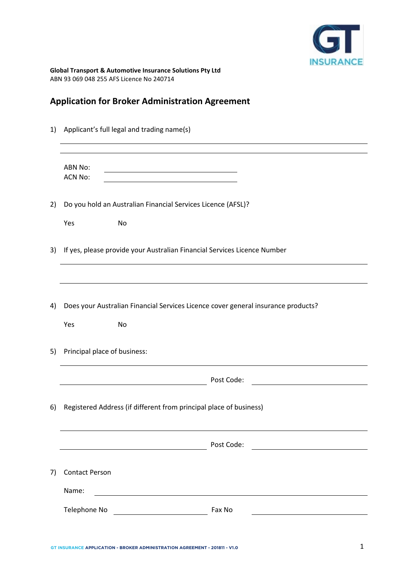

# **Application for Broker Administration Agreement**

| 1) | Applicant's full legal and trading name(s)                                                                                                                |
|----|-----------------------------------------------------------------------------------------------------------------------------------------------------------|
|    | <b>ABN No:</b><br><u> 1980 - Johann Barn, mars ann an t-Amhain Aonaichte ann an t-Aonaichte ann an t-Aonaichte ann an t-Aonaichte a</u><br><b>ACN No:</b> |
| 2) | Do you hold an Australian Financial Services Licence (AFSL)?                                                                                              |
|    | Yes<br>No                                                                                                                                                 |
| 3) | If yes, please provide your Australian Financial Services Licence Number                                                                                  |
|    |                                                                                                                                                           |
| 4) | Does your Australian Financial Services Licence cover general insurance products?                                                                         |
|    | Yes<br><b>No</b>                                                                                                                                          |
| 5) | Principal place of business:                                                                                                                              |
|    | Post Code:<br><u> 1989 - Johann Barbara, martxa alemaniar a</u>                                                                                           |
| 6) | Registered Address (if different from principal place of business)                                                                                        |
|    | Post Code:                                                                                                                                                |
| 7) | <b>Contact Person</b>                                                                                                                                     |
|    | Name:                                                                                                                                                     |
|    | Telephone No<br>Fax No                                                                                                                                    |
|    |                                                                                                                                                           |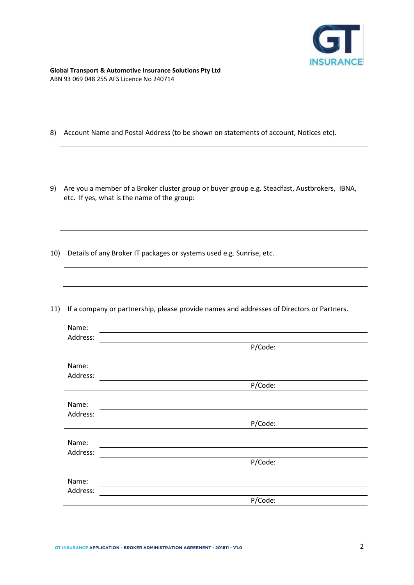

- 8) Account Name and Postal Address (to be shown on statements of account, Notices etc).
- 9) Are you a member of a Broker cluster group or buyer group e.g. Steadfast, Austbrokers, IBNA, etc. If yes, what is the name of the group:
- 10) Details of any Broker IT packages or systems used e.g. Sunrise, etc.
- 11) If a company or partnership, please provide names and addresses of Directors or Partners.

| Name:    |         |
|----------|---------|
| Address: |         |
|          | P/Code: |
|          |         |
| Name:    |         |
| Address: |         |
|          | P/Code: |
|          |         |
| Name:    |         |
| Address: |         |
|          | P/Code: |
|          |         |
| Name:    |         |
| Address: |         |
|          | P/Code: |
|          |         |
| Name:    |         |
| Address: |         |
|          | P/Code: |
|          |         |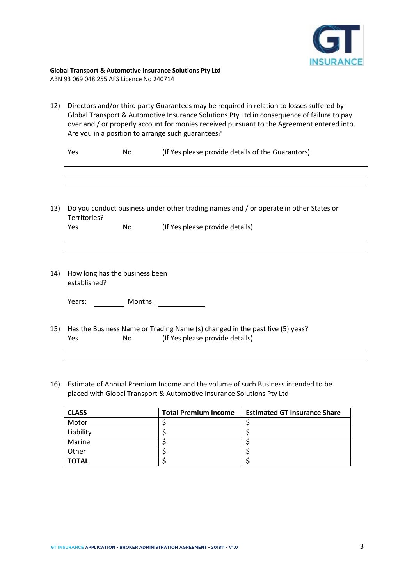

12) Directors and/or third party Guarantees may be required in relation to losses suffered by Global Transport & Automotive Insurance Solutions Pty Ltd in consequence of failure to pay over and / or properly account for monies received pursuant to the Agreement entered into. Are you in a position to arrange such guarantees?

|     | Yes                                            | No      | (If Yes please provide details of the Guarantors)                                                               |
|-----|------------------------------------------------|---------|-----------------------------------------------------------------------------------------------------------------|
|     |                                                |         |                                                                                                                 |
| 13) | Territories?                                   |         | Do you conduct business under other trading names and / or operate in other States or                           |
|     | Yes                                            | No      | (If Yes please provide details)                                                                                 |
|     |                                                |         |                                                                                                                 |
| 14) | How long has the business been<br>established? |         |                                                                                                                 |
|     | Years:                                         | Months: |                                                                                                                 |
| 15) | Yes                                            | No      | Has the Business Name or Trading Name (s) changed in the past five (5) yeas?<br>(If Yes please provide details) |

16) Estimate of Annual Premium Income and the volume of such Business intended to be placed with Global Transport & Automotive Insurance Solutions Pty Ltd

| <b>CLASS</b> | <b>Total Premium Income</b> | <b>Estimated GT Insurance Share</b> |
|--------------|-----------------------------|-------------------------------------|
| Motor        |                             |                                     |
| Liability    |                             |                                     |
| Marine       |                             |                                     |
| Other        |                             |                                     |
| <b>TOTAL</b> |                             |                                     |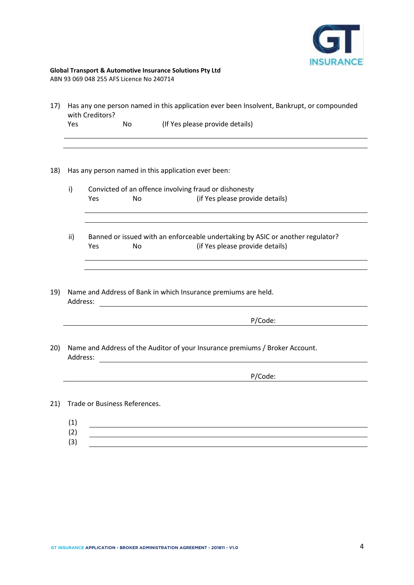

| 17) |                                                                                          | Has any one person named in this application ever been Insolvent, Bankrupt, or compounded<br>with Creditors? |                               |                                                                                                                   |  |
|-----|------------------------------------------------------------------------------------------|--------------------------------------------------------------------------------------------------------------|-------------------------------|-------------------------------------------------------------------------------------------------------------------|--|
|     | Yes                                                                                      |                                                                                                              | No                            | (If Yes please provide details)                                                                                   |  |
| 18) |                                                                                          |                                                                                                              |                               | Has any person named in this application ever been:                                                               |  |
|     | i)                                                                                       | Yes                                                                                                          | No                            | Convicted of an offence involving fraud or dishonesty<br>(if Yes please provide details)                          |  |
|     | ii)                                                                                      | Yes                                                                                                          | N <sub>o</sub>                | Banned or issued with an enforceable undertaking by ASIC or another regulator?<br>(if Yes please provide details) |  |
| 19) | Name and Address of Bank in which Insurance premiums are held.<br>Address:               |                                                                                                              |                               |                                                                                                                   |  |
|     | P/Code:                                                                                  |                                                                                                              |                               |                                                                                                                   |  |
| 20) | Name and Address of the Auditor of your Insurance premiums / Broker Account.<br>Address: |                                                                                                              |                               |                                                                                                                   |  |
|     |                                                                                          |                                                                                                              |                               | P/Code:                                                                                                           |  |
| 21) |                                                                                          |                                                                                                              | Trade or Business References. |                                                                                                                   |  |
|     | (1)                                                                                      |                                                                                                              |                               |                                                                                                                   |  |

- $(2)$
- (3)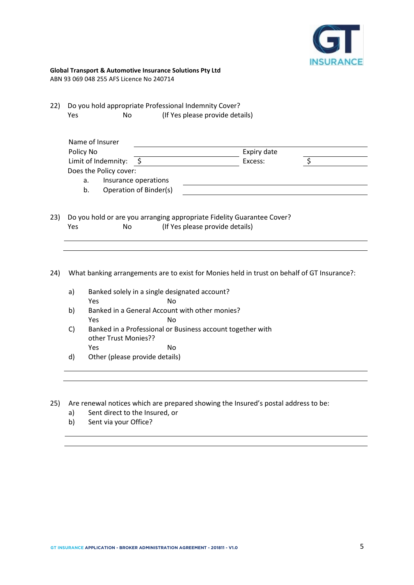

22) Do you hold appropriate Professional Indemnity Cover? Yes No (If Yes please provide details)

| Name of Insurer        |                        |             |  |  |
|------------------------|------------------------|-------------|--|--|
| Policy No              |                        | Expiry date |  |  |
| Limit of Indemnity:    |                        | Excess:     |  |  |
| Does the Policy cover: |                        |             |  |  |
| a.                     | Insurance operations   |             |  |  |
| b.                     | Operation of Binder(s) |             |  |  |

23) Do you hold or are you arranging appropriate Fidelity Guarantee Cover? Yes No (If Yes please provide details)

24) What banking arrangements are to exist for Monies held in trust on behalf of GT Insurance?:

- a) Banked solely in a single designated account? Yes No
- b) Banked in a General Account with other monies? Yes No
- C) Banked in a Professional or Business account together with other Trust Monies?? Yes No
- d) Other (please provide details)
- 25) Are renewal notices which are prepared showing the Insured's postal address to be:
	- a) Sent direct to the Insured, or
	- b) Sent via your Office?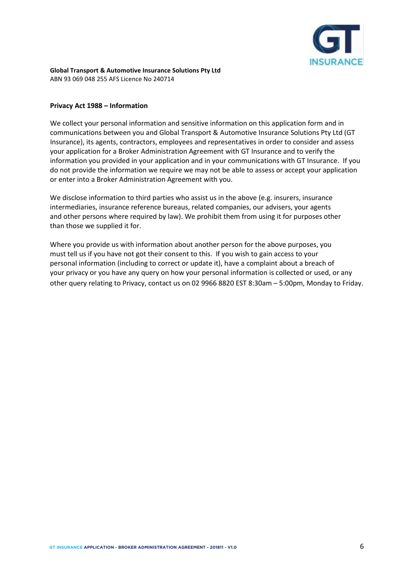

#### **Privacy Act 1988 – Information**

We collect your personal information and sensitive information on this application form and in communications between you and Global Transport & Automotive Insurance Solutions Pty Ltd (GT Insurance), its agents, contractors, employees and representatives in order to consider and assess your application for a Broker Administration Agreement with GT Insurance and to verify the information you provided in your application and in your communications with GT Insurance. If you do not provide the information we require we may not be able to assess or accept your application or enter into a Broker Administration Agreement with you.

We disclose information to third parties who assist us in the above (e.g. insurers, insurance intermediaries, insurance reference bureaus, related companies, our advisers, your agents and other persons where required by law). We prohibit them from using it for purposes other than those we supplied it for.

Where you provide us with information about another person for the above purposes, you must tell us if you have not got their consent to this. If you wish to gain access to your personal information (including to correct or update it), have a complaint about a breach of your privacy or you have any query on how your personal information is collected or used, or any other query relating to Privacy, contact us on 02 9966 8820 EST 8:30am – 5:00pm, Monday to Friday.